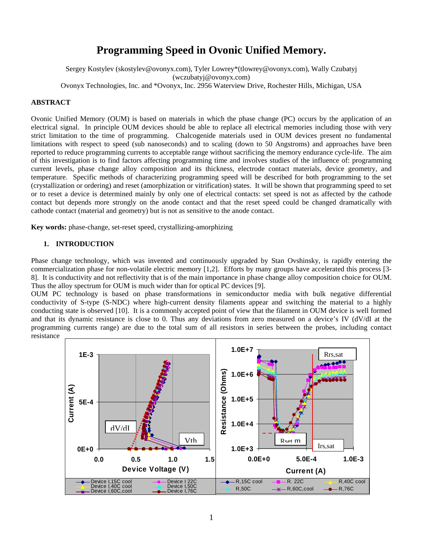# **Programming Speed in Ovonic Unified Memory.**

Sergey Kostylev (skostylev@ovonyx.com), Tyler Lowrey\*(tlowrey@ovonyx.com), Wally Czubatyj (wczubatyj@ovonyx.com)

Ovonyx Technologies, Inc. and \*Ovonyx, Inc. 2956 Waterview Drive, Rochester Hills, Michigan, USA

# **ABSTRACT**

Ovonic Unified Memory (OUM) is based on materials in which the phase change (PC) occurs by the application of an electrical signal. In principle OUM devices should be able to replace all electrical memories including those with very strict limitation to the time of programming. Chalcogenide materials used in OUM devices present no fundamental limitations with respect to speed (sub nanoseconds) and to scaling (down to 50 Angstroms) and approaches have been reported to reduce programming currents to acceptable range without sacrificing the memory endurance cycle-life. The aim of this investigation is to find factors affecting programming time and involves studies of the influence of: programming current levels, phase change alloy composition and its thickness, electrode contact materials, device geometry, and temperature. Specific methods of characterizing programming speed will be described for both programming to the set (crystallization or ordering) and reset (amorphization or vitrification) states. It will be shown that programming speed to set or to reset a device is determined mainly by only one of electrical contacts: set speed is not as affected by the cathode contact but depends more strongly on the anode contact and that the reset speed could be changed dramatically with cathode contact (material and geometry) but is not as sensitive to the anode contact.

**Key words:** phase-change, set-reset speed, crystallizing-amorphizing

## **1. INTRODUCTION**

Phase change technology, which was invented and continuously upgraded by Stan Ovshinsky, is rapidly entering the commercialization phase for non-volatile electric memory [1,2]. Efforts by many groups have accelerated this process [3- 8]. It is conductivity and not reflectivity that is of the main importance in phase change alloy composition choice for OUM. Thus the alloy spectrum for OUM is much wider than for optical PC devices [9].

OUM PC technology is based on phase transformations in semiconductor media with bulk negative differential conductivity of S-type (S-NDC) where high-current density filaments appear and switching the material to a highly conducting state is observed [10]. It is a commonly accepted point of view that the filament in OUM device is well formed and that its dynamic resistance is close to 0. Thus any deviations from zero measured on a device's IV (dV/dI at the programming currents range) are due to the total sum of all resistors in series between the probes, including contact resistance

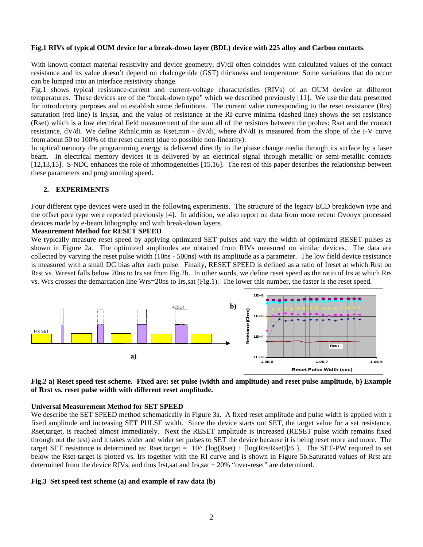## **Fig.1 RIVs of typical OUM device for a break-down layer (BDL) device with 225 alloy and Carbon contacts**.

With known contact material resistivity and device geometry, dV/dI often coincides with calculated values of the contact resistance and its value doesn't depend on chalcogenide (GST) thickness and temperature. Some variations that do occur can be lumped into an interface resistivity change.

Fig.1 shows typical resistance-current and current-voltage characteristics (RIVs) of an OUM device at different temperatures. These devices are of the "break-down type" which we described previously [11]. We use the data presented for introductory purposes and to establish some definitions. The current value corresponding to the reset resistance (Rrs) saturation (red line) is Irs,sat, and the value of resistance at the RI curve minima (dashed line) shows the set resistance (Rset) which is a low electrical field measurement of the sum all of the resistors between the probes: Rset and the contact resistance, dV/dI. We define Rchalc,min as Rset,min - dV/dI, where dV/dI is measured from the slope of the I-V curve from about 50 to 100% of the reset current (due to possible non-linearity).

In optical memory the programming energy is delivered directly to the phase change media through its surface by a laser beam. In electrical memory devices it is delivered by an electrical signal through metallic or semi-metallic contacts [12,13,15]. S-NDC enhances the role of inhomogeneities [15,16]. The rest of this paper describes the relationship between these parameters and programming speed.

# **2. EXPERIMENTS**

Four different type devices were used in the following experiments. The structure of the legacy ECD breakdown type and the offset pore type were reported previously [4]. In addition, we also report on data from more recent Ovonyx processed devices made by e-beam lithography and with break-down layers.

## **Measurement Method for RESET SPEED**

We typically measure reset speed by applying optimized SET pulses and vary the width of optimized RESET pulses as shown in Figure 2a. The optimized amplitudes are obtained from RIVs measured on similar devices. The data are collected by varying the reset pulse width (10ns - 500ns) with its amplitude as a parameter. The low field device resistance is measured with a small DC bias after each pulse. Finally, RESET SPEED is defined as a ratio of Ireset at which Rrst on Rrst vs. Wreset falls below 20ns to Irs,sat from Fig.2b. In other words, we define reset speed as the ratio of Irs at which Rrs vs. Wrs crosses the demarcation line Wrs=20ns to Irs,sat (Fig.1). The lower this number, the faster is the reset speed.





#### **Universal Measurement Method for SET SPEED**

We describe the SET SPEED method schematically in Figure 3a. A fixed reset amplitude and pulse width is applied with a fixed amplitude and increasing SET PULSE width. Since the device starts out SET, the target value for a set resistance, Rset,target, is reached almost immediately. Next the RESET amplitude is increased (RESET pulse width remains fixed through out the test) and it takes wider and wider set pulses to SET the device because it is being reset more and more. The target SET resistance is determined as: Rset,target =  $10^{\circ}$  {log(Rset) + [log(Rrs/Rset)]/6 }. The SET-PW required to set below the Rset-target is plotted vs. Irs together with the RI curve and is shown in Figure 5b.Saturated values of Rrst are determined from the device RIVs, and thus Irst, sat and Irs, sat  $+20\%$  "over-reset" are determined.

#### **Fig.3 Set speed test scheme (a) and example of raw data (b)**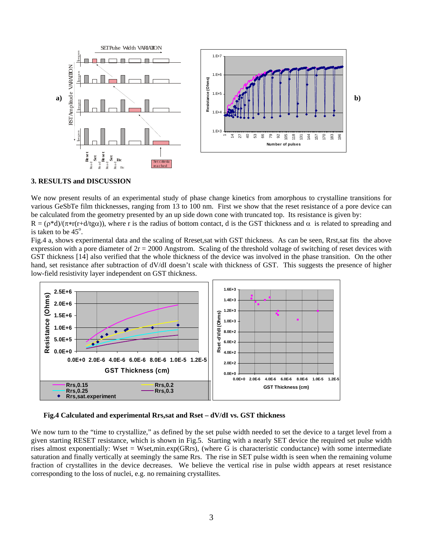

#### **3. RESULTS and DISCUSSION**

We now present results of an experimental study of phase change kinetics from amorphous to crystalline transitions for various GeSbTe film thicknesses, ranging from 13 to 100 nm. First we show that the reset resistance of a pore device can be calculated from the geometry presented by an up side down cone with truncated top. Its resistance is given by:

 $R = (\rho^*d)/(\pi^*r(r+d/tg\alpha))$ , where r is the radius of bottom contact, d is the GST thickness and  $\alpha$  is related to spreading and is taken to be  $45^\circ$ .

Fig.4 a, shows experimental data and the scaling of Rreset,sat with GST thickness. As can be seen, Rrst,sat fits the above expression with a pore diameter of  $2r = 2000$  Angstrom. Scaling of the threshold voltage of switching of reset devices with GST thickness [14] also verified that the whole thickness of the device was involved in the phase transition. On the other hand, set resistance after subtraction of dV/dI doesn't scale with thickness of GST. This suggests the presence of higher low-field resistivity layer independent on GST thickness.



**Fig.4 Calculated and experimental Rrs,sat and Rset – dV/dI vs. GST thickness** 

We now turn to the "time to crystallize," as defined by the set pulse width needed to set the device to a target level from a given starting RESET resistance, which is shown in Fig.5. Starting with a nearly SET device the required set pulse width rises almost exponentially: Wset = Wset,min.exp(GRrs), (where G is characteristic conductance) with some intermediate saturation and finally vertically at seemingly the same Rrs. The rise in SET pulse width is seen when the remaining volume fraction of crystallites in the device decreases. We believe the vertical rise in pulse width appears at reset resistance corresponding to the loss of nuclei, e.g. no remaining crystallites.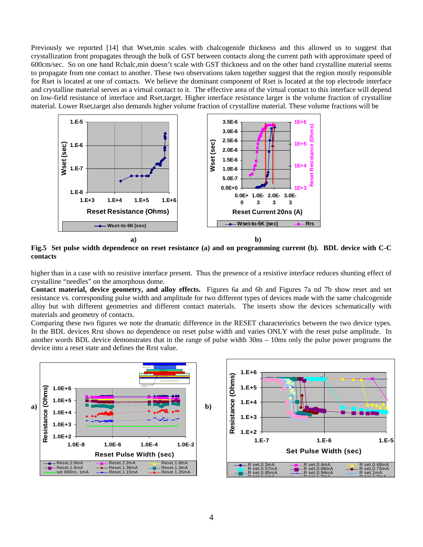Previously we reported [14] that Wset,min scales with chalcogenide thickness and this allowed us to suggest that crystallization front propagates through the bulk of GST between contacts along the current path with approximate speed of 600cm/sec. So on one hand Rchalc,min doesn't scale with GST thickness and on the other hand crystalline material seems to propagate from one contact to another. These two observations taken together suggest that the region mostly responsible for Rset is located at one of contacts. We believe the dominant component of Rset is located at the top electrode interface and crystalline material serves as a virtual contact to it. The effective area of the virtual contact to this interface will depend on low-field resistance of interface and Rset,target. Higher interface resistance larger is the volume fraction of crystalline material. Lower Rset,target also demands higher volume fraction of crystalline material. These volume fractions will be



**Fig.5 Set pulse width dependence on reset resistance (a) and on programming current (b). BDL device with C-C contacts** 

higher than in a case with no resistive interface present. Thus the presence of a resistive interface reduces shunting effect of crystalline "needles" on the amorphous dome.

**Contact material, device geometry, and alloy effects.** Figures 6a and 6b and Figures 7a nd 7b show reset and set resistance vs. corresponding pulse width and amplitude for two different types of devices made with the same chalcogenide alloy but with different geometries and different contact materials. The inserts show the devices schematically with materials and geometry of contacts.

Comparing these two figures we note the dramatic difference in the RESET characteristics between the two device types. In the BDL devices Rrst shows no dependence on reset pulse width and varies ONLY with the reset pulse amplitude. In another words BDL device demonstrates that in the range of pulse width 30ns – 10ms only the pulse power programs the device into a reset state and defines the Rrst value.

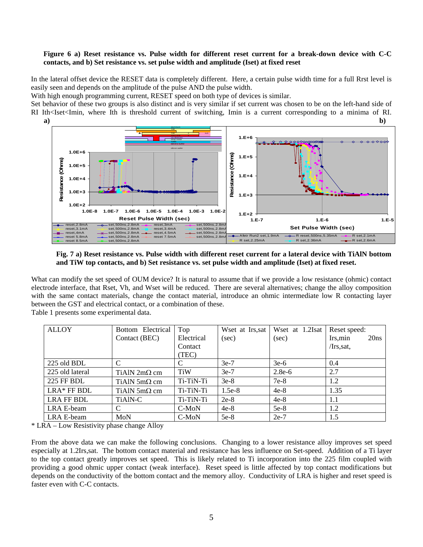## **Figure 6 a) Reset resistance vs. Pulse width for different reset current for a break-down device with C-C contacts, and b) Set resistance vs. set pulse width and amplitude (Iset) at fixed reset**

In the lateral offset device the RESET data is completely different. Here, a certain pulse width time for a full Rrst level is easily seen and depends on the amplitude of the pulse AND the pulse width.

With high enough programming current, RESET speed on both type of devices is similar.

Set behavior of these two groups is also distinct and is very similar if set current was chosen to be on the left-hand side of RI Ith<Iset<Imin, where Ith is threshold current of switching, Imin is a current corresponding to a minima of RI. a) b)



**Fig. 7 a) Reset resistance vs. Pulse width with different reset current for a lateral device with TiAlN bottom and TiW top contacts, and b) Set resistance vs. set pulse width and amplitude (Iset) at fixed reset.** 

What can modify the set speed of OUM device? It is natural to assume that if we provide a low resistance (ohmic) contact electrode interface, that Rset, Vh, and Wset will be reduced. There are several alternatives; change the alloy composition with the same contact materials, change the contact material, introduce an ohmic intermediate low R contacting layer between the GST and electrical contact, or a combination of these.

Table 1 presents some experimental data.

| <b>ALLOY</b>      | Bottom Electrical   | Top        | Wset at Irs, sat | Wset at 1.2Isat | Reset speed:     |
|-------------------|---------------------|------------|------------------|-----------------|------------------|
|                   | Contact (BEC)       | Electrical | (sec)            | (sec)           | 20ns<br>Irs, min |
|                   |                     | Contact    |                  |                 | $/Irs$ , sat,    |
|                   |                     | (TEC)      |                  |                 |                  |
| 225 old BDL       | C                   |            | $3e-7$           | $3e-6$          | 0.4              |
| 225 old lateral   | TiAlN $2m\Omega$ cm | <b>TiW</b> | $3e-7$           | $2.8e-6$        | 2.7              |
| <b>225 FF BDL</b> | TiAlN $5m\Omega$ cm | Ti-TiN-Ti  | $3e-8$           | $7e-8$          | 1.2              |
| $LRA*$ FF BDL     | TiAlN $5m\Omega$ cm | Ti-TiN-Ti  | $1.5e-8$         | $4e-8$          | 1.35             |
| LRA FF BDL        | TiAlN-C             | Ti-TiN-Ti  | $2e-8$           | $4e-8$          | 1.1              |
| LRA E-beam        | C                   | C-MoN      | $4e-8$           | $5e-8$          | 1.2              |
| LRA E-beam        | MoN                 | $C-MoN$    | $5e-8$           | $2e-7$          | 1.5              |

\* LRA – Low Resistivity phase change Alloy

From the above data we can make the following conclusions. Changing to a lower resistance alloy improves set speed especially at 1.2Irs,sat. The bottom contact material and resistance has less influence on Set-speed. Addition of a Ti layer to the top contact greatly improves set speed. This is likely related to Ti incorporation into the 225 film coupled with providing a good ohmic upper contact (weak interface). Reset speed is little affected by top contact modifications but depends on the conductivity of the bottom contact and the memory alloy. Conductivity of LRA is higher and reset speed is faster even with C-C contacts.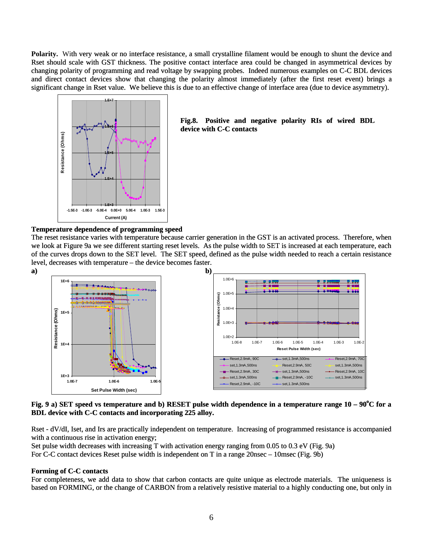Polarity. With very weak or no interface resistance, a small crystalline filament would be enough to shunt the device and Rset should scale with GST thickness. The positive contact interface area could be changed in asymmetrical devices by changing polarity of programming and read voltage by swapping probes. Indeed numerous examples on C-C BDL devices and direct contact devices show that changing the polarity almost immediately (after the first reset event) brings a significant change in Rset value. We believe this is due to an effective change of interface area (due to device asymmetry).



## **Fig.8. Positive and negative polarity RIs of wired BDL device with C-C contacts**

## **Temperature dependence of programming speed**

The reset resistance varies with temperature because carrier generation in the GST is an activated process. Therefore, when we look at Figure 9a we see different starting reset levels. As the pulse width to SET is increased at each temperature, each of the curves drops down to the SET level. The SET speed, defined as the pulse width needed to reach a certain resistance level, decreases with temperature – the device becomes faster.



Fig. 9 a) SET speed vs temperature and b) RESET pulse width dependence in a temperature range 10 – 90<sup>o</sup>C for a **BDL device with C-C contacts and incorporating 225 alloy.** 

Rset - dV/dI, Iset, and Irs are practically independent on temperature. Increasing of programmed resistance is accompanied with a continuous rise in activation energy;

Set pulse width decreases with increasing T with activation energy ranging from 0.05 to 0.3 eV (Fig. 9a) For C-C contact devices Reset pulse width is independent on T in a range 20nsec – 10msec (Fig. 9b)

## **Forming of C-C contacts**

For completeness, we add data to show that carbon contacts are quite unique as electrode materials. The uniqueness is based on FORMING, or the change of CARBON from a relatively resistive material to a highly conducting one, but only in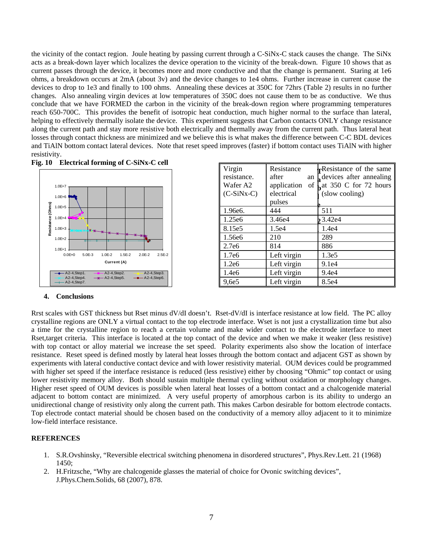the vicinity of the contact region. Joule heating by passing current through a C-SiNx-C stack causes the change. The SiNx acts as a break-down layer which localizes the device operation to the vicinity of the break-down. Figure 10 shows that as current passes through the device, it becomes more and more conductive and that the change is permanent. Staring at 1e6 ohms, a breakdown occurs at 2mA (about 3v) and the device changes to 1e4 ohms. Further increase in current cause the devices to drop to 1e3 and finally to 100 ohms. Annealing these devices at 350C for 72hrs (Table 2) results in no further changes. Also annealing virgin devices at low temperatures of 350C does not cause them to be as conductive. We thus conclude that we have FORMED the carbon in the vicinity of the break-down region where programming temperatures reach 650-700C. This provides the benefit of isotropic heat conduction, much higher normal to the surface than lateral, helping to effectively thermally isolate the device. This experiment suggests that Carbon contacts ONLY change resistance along the current path and stay more resistive both electrically and thermally away from the current path. Thus lateral heat losses through contact thickness are minimized and we believe this is what makes the difference between C-C BDL devices and TiAlN bottom contact lateral devices. Note that reset speed improves (faster) if bottom contact uses TiAlN with higher resistivity.





| Virgin            | Resistance        | <b>Resistance</b> of the same |  |
|-------------------|-------------------|-------------------------------|--|
| resistance.       | after<br>an       | devices after annealing       |  |
| Wafer A2          | application<br>of | $\int$ at 350 C for 72 hours  |  |
| $(C-SiNx-C)$      | electrical        | (slow cooling)                |  |
|                   | pulses            |                               |  |
| 1.96e6.           | 444               | 511                           |  |
| 1.25e6            | 3.46e4            | 23.42e4                       |  |
| 8.15e5            | 1.5e4             | 1.4e4                         |  |
| 1.56e6            | 210               | 289                           |  |
| 2.7e6             | 814               | 886                           |  |
| 1.7e <sub>6</sub> | Left virgin       | 1.3e <sub>5</sub>             |  |
| 1.2e6             | Left virgin       | 9.1e4                         |  |
| 1.4e6             | Left virgin       | 9.4e4                         |  |
| 9,6e5             | Left virgin       | 8.5e4                         |  |

## **4. Conclusions**

Rrst scales with GST thickness but Rset minus dV/dI doesn't. Rset-dV/dI is interface resistance at low field. The PC alloy crystalline regions are ONLY a virtual contact to the top electrode interface. Wset is not just a crystallization time but also a time for the crystalline region to reach a certain volume and make wider contact to the electrode interface to meet Rset,target criteria. This interface is located at the top contact of the device and when we make it weaker (less resistive) with top contact or alloy material we increase the set speed. Polarity experiments also show the location of interface resistance. Reset speed is defined mostly by lateral heat losses through the bottom contact and adjacent GST as shown by experiments with lateral conductive contact device and with lower resistivity material. OUM devices could be programmed with higher set speed if the interface resistance is reduced (less resistive) either by choosing "Ohmic" top contact or using lower resistivity memory alloy. Both should sustain multiple thermal cycling without oxidation or morphology changes. Higher reset speed of OUM devices is possible when lateral heat losses of a bottom contact and a chalcogenide material adjacent to bottom contact are minimized. A very useful property of amorphous carbon is its ability to undergo an unidirectional change of resistivity only along the current path. This makes Carbon desirable for bottom electrode contacts. Top electrode contact material should be chosen based on the conductivity of a memory alloy adjacent to it to minimize low-field interface resistance.

## **REFERENCES**

- 1. S.R.Ovshinsky, "Reversible electrical switching phenomena in disordered structures", Phys.Rev.Lett. 21 (1968) 1450;
- 2. H.Fritzsche, "Why are chalcogenide glasses the material of choice for Ovonic switching devices", J.Phys.Chem.Solids, 68 (2007), 878.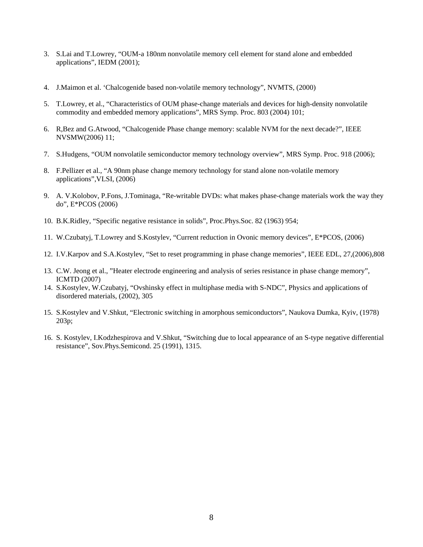- 3. S.Lai and T.Lowrey, "OUM-a 180nm nonvolatile memory cell element for stand alone and embedded applications", IEDM (2001);
- 4. J.Maimon et al. 'Chalcogenide based non-volatile memory technology", NVMTS, (2000)
- 5. T.Lowrey, et al., "Characteristics of OUM phase-change materials and devices for high-density nonvolatile commodity and embedded memory applications", MRS Symp. Proc. 803 (2004) 101;
- 6. R,Bez and G.Atwood, "Chalcogenide Phase change memory: scalable NVM for the next decade?", IEEE NVSMW(2006) 11;
- 7. S.Hudgens, "OUM nonvolatile semiconductor memory technology overview", MRS Symp. Proc. 918 (2006);
- 8. F.Pellizer et al., "A 90nm phase change memory technology for stand alone non-volatile memory applications",VLSI, (2006)
- 9. A. V.Kolobov, P.Fons, J.Tominaga, "Re-writable DVDs: what makes phase-change materials work the way they do", E\*PCOS (2006)
- 10. B.K.Ridley, "Specific negative resistance in solids", Proc.Phys.Soc. 82 (1963) 954;
- 11. W.Czubatyj, T.Lowrey and S.Kostylev, "Current reduction in Ovonic memory devices", E\*PCOS, (2006)
- 12. I.V.Karpov and S.A.Kostylev, "Set to reset programming in phase change memories", IEEE EDL, 27,(2006),808
- 13. C.W. Jeong et al., "Heater electrode engineering and analysis of series resistance in phase change memory", ICMTD (2007)
- 14. S.Kostylev, W.Czubatyj, "Ovshinsky effect in multiphase media with S-NDC", Physics and applications of disordered materials, (2002), 305
- 15. S.Kostylev and V.Shkut, "Electronic switching in amorphous semiconductors", Naukova Dumka, Kyiv, (1978) 203p;
- 16. S. Kostylev, I.Kodzhespirova and V.Shkut, "Switching due to local appearance of an S-type negative differential resistance", Sov.Phys.Semicond. 25 (1991), 1315.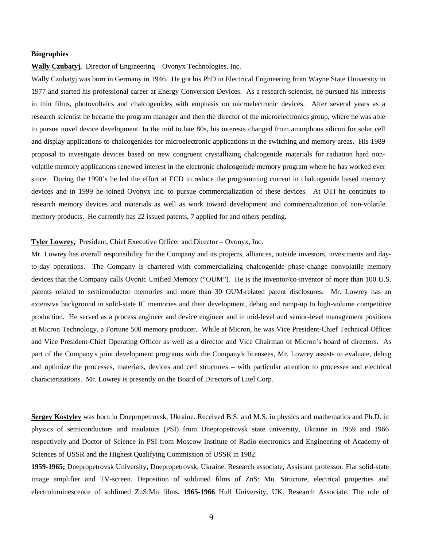#### **Biographies**

**Wally Czubatyj**, Director of Engineering – Ovonyx Technologies, Inc.

Wally Czubatyj was born in Germany in 1946. He got his PhD in Electrical Engineering from Wayne State University in 1977 and started his professional career at Energy Conversion Devices. As a research scientist, he pursued his interests in thin films, photovoltaics and chalcogenides with emphasis on microelectronic devices. After several years as a research scientist he became the program manager and then the director of the microelectronics group, where he was able to pursue novel device development. In the mid to late 80s, his interests changed from amorphous silicon for solar cell and display applications to chalcogenides for microelectronic applications in the switching and memory areas. His 1989 proposal to investigate devices based on new congruent crystallizing chalcogenide materials for radiation hard nonvolatile memory applications renewed interest in the electronic chalcogenide memory program where he has worked ever since. During the 1990's he led the effort at ECD to reduce the programming current in chalcogenide based memory devices and in 1999 he joined Ovonyx Inc. to pursue commercialization of these devices. At OTI he continues to research memory devices and materials as well as work toward development and commercialization of non-volatile memory products. He currently has 22 issued patents, 7 applied for and others pending.

#### **Tyler Lowrey,** President, Chief Executive Officer and Director – Ovonyx, Inc.

Mr. Lowrey has overall responsibility for the Company and its projects, alliances, outside investors, investments and dayto-day operations. The Company is chartered with commercializing chalcogenide phase-change nonvolatile memory devices that the Company calls Ovonic Unified Memory ("OUM"). He is the inventor/co-inventor of more than 100 U.S. patents related to semiconductor memories and more than 30 OUM-related patent disclosures. Mr. Lowrey has an extensive background in solid-state IC memories and their development, debug and ramp-up to high-volume competitive production. He served as a process engineer and device engineer and in mid-level and senior-level management positions at Micron Technology, a Fortune 500 memory producer. While at Micron, he was Vice President-Chief Technical Officer and Vice President-Chief Operating Officer as well as a director and Vice Chairman of Micron's board of directors. As part of the Company's joint development programs with the Company's licensees, Mr. Lowrey assists to evaluate, debug and optimize the processes, materials, devices and cell structures – with particular attention to processes and electrical characterizations. Mr. Lowrey is presently on the Board of Directors of Litel Corp.

**Sergey Kostylev** was born in Dnepropetrovsk, Ukraine. Received B.S. and M.S. in physics and mathematics and Ph.D. in physics of semiconductors and insulators (PSI) from Dnepropetrovsk state university, Ukraine in 1959 and 1966 respectively and Doctor of Science in PSI from Moscow Institute of Radio-electronics and Engineering of Academy of Sciences of USSR and the Highest Qualifying Commission of USSR in 1982.

**1959-1965;** Dnepropetrovsk University, Dnepropetrovsk, Ukraine. Research associate, Assistant professor. Flat solid-state image amplifier and TV-screen. Deposition of sublimed films of ZnS: Mn. Structure, electrical properties and electroluminescence of sublimed ZnS:Mn films. **1965-1966** Hull University, UK. Research Associate. The role of